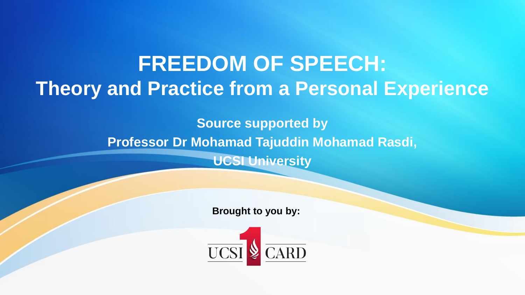# **FREEDOM OF SPEECH: Theory and Practice from a Personal Experience**

**Source supported by Professor Dr Mohamad Tajuddin Mohamad Rasdi, UCSI University**

**Brought to you by:** 

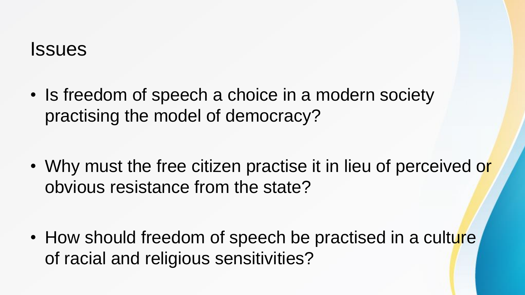#### **Issues**

• Is freedom of speech a choice in a modern society practising the model of democracy?

• Why must the free citizen practise it in lieu of perceived or obvious resistance from the state?

• How should freedom of speech be practised in a culture of racial and religious sensitivities?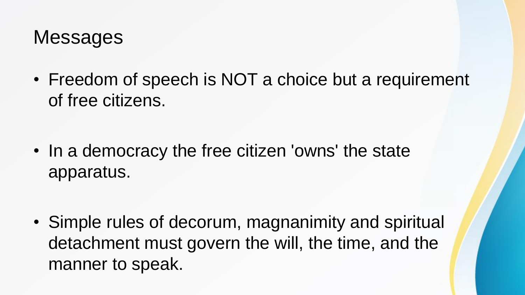### **Messages**

• Freedom of speech is NOT a choice but a requirement of free citizens.

• In a democracy the free citizen 'owns' the state apparatus.

• Simple rules of decorum, magnanimity and spiritual detachment must govern the will, the time, and the manner to speak.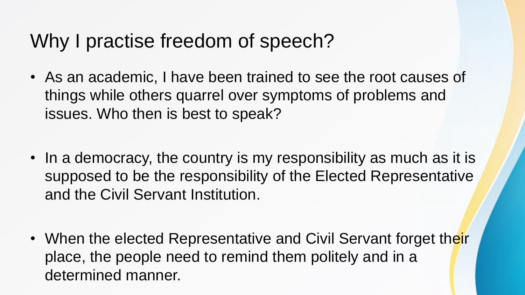### Why I practise freedom of speech?

- As an academic, I have been trained to see the root causes of things while others quarrel over symptoms of problems and issues. Who then is best to speak?
- In a democracy, the country is my responsibility as much as it is supposed to be the responsibility of the Elected Representative and the Civil Servant Institution.
- When the elected Representative and Civil Servant forget their place, the people need to remind them politely and in a determined manner.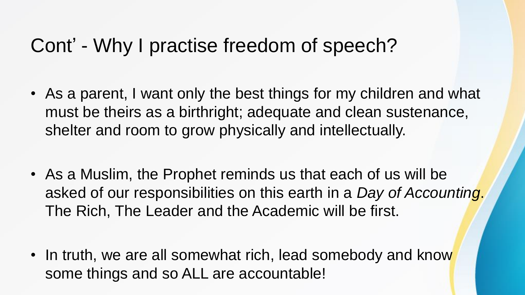#### Cont' - Why I practise freedom of speech?

- As a parent, I want only the best things for my children and what must be theirs as a birthright; adequate and clean sustenance, shelter and room to grow physically and intellectually.
- As a Muslim, the Prophet reminds us that each of us will be asked of our responsibilities on this earth in a *Day of Accounting*. The Rich, The Leader and the Academic will be first.
- In truth, we are all somewhat rich, lead somebody and know some things and so ALL are accountable!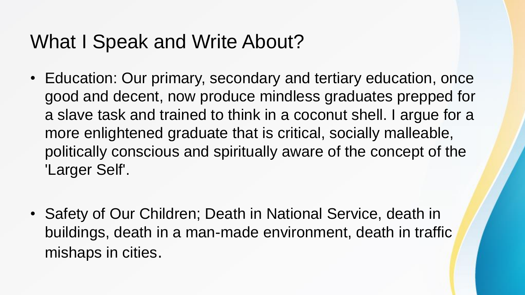### What I Speak and Write About?

- Education: Our primary, secondary and tertiary education, once good and decent, now produce mindless graduates prepped for a slave task and trained to think in a coconut shell. I argue for a more enlightened graduate that is critical, socially malleable, politically conscious and spiritually aware of the concept of the 'Larger Self'.
- Safety of Our Children; Death in National Service, death in buildings, death in a man-made environment, death in traffic mishaps in cities.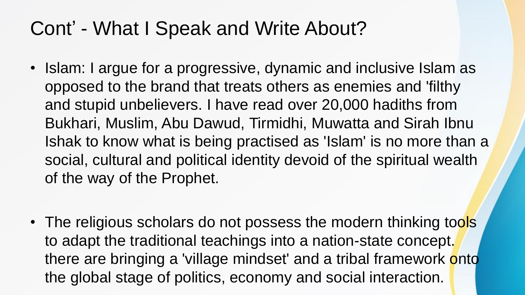## Cont' - What I Speak and Write About?

- Islam: I argue for a progressive, dynamic and inclusive Islam as opposed to the brand that treats others as enemies and 'filthy and stupid unbelievers. I have read over 20,000 hadiths from Bukhari, Muslim, Abu Dawud, Tirmidhi, Muwatta and Sirah Ibnu Ishak to know what is being practised as 'Islam' is no more than a social, cultural and political identity devoid of the spiritual wealth of the way of the Prophet.
- The religious scholars do not possess the modern thinking tools to adapt the traditional teachings into a nation-state concept. there are bringing a 'village mindset' and a tribal framework onto the global stage of politics, economy and social interaction.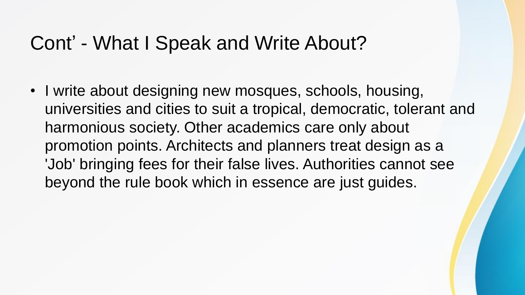#### Cont' - What I Speak and Write About?

• I write about designing new mosques, schools, housing, universities and cities to suit a tropical, democratic, tolerant and harmonious society. Other academics care only about promotion points. Architects and planners treat design as a 'Job' bringing fees for their false lives. Authorities cannot see beyond the rule book which in essence are just guides.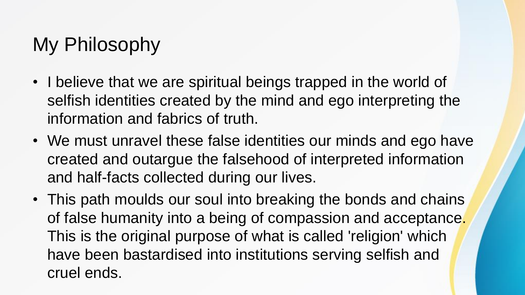## My Philosophy

- I believe that we are spiritual beings trapped in the world of selfish identities created by the mind and ego interpreting the information and fabrics of truth.
- We must unravel these false identities our minds and ego have created and outargue the falsehood of interpreted information and half-facts collected during our lives.
- This path moulds our soul into breaking the bonds and chains of false humanity into a being of compassion and acceptance. This is the original purpose of what is called 'religion' which have been bastardised into institutions serving selfish and cruel ends.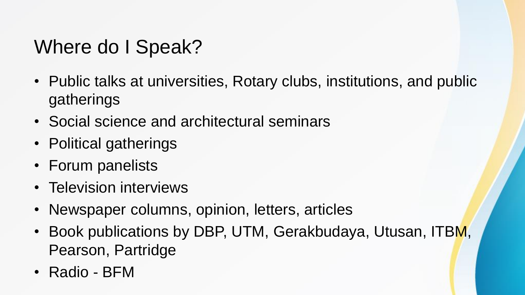## Where do I Speak?

- Public talks at universities, Rotary clubs, institutions, and public gatherings
- Social science and architectural seminars
- Political gatherings
- Forum panelists
- Television interviews
- Newspaper columns, opinion, letters, articles
- Book publications by DBP, UTM, Gerakbudaya, Utusan, ITBM, Pearson, Partridge
- Radio BFM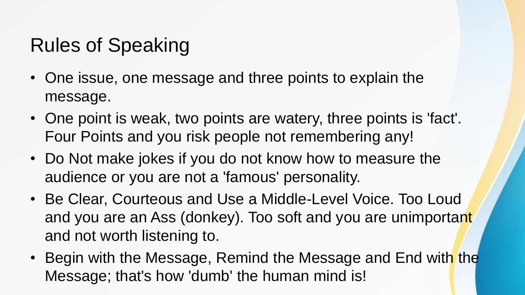## Rules of Speaking

- One issue, one message and three points to explain the message.
- One point is weak, two points are watery, three points is 'fact'. Four Points and you risk people not remembering any!
- Do Not make jokes if you do not know how to measure the audience or you are not a 'famous' personality.
- Be Clear, Courteous and Use a Middle-Level Voice. Too Loud and you are an Ass (donkey). Too soft and you are unimportant and not worth listening to.
- Begin with the Message, Remind the Message and End with the Message; that's how 'dumb' the human mind is!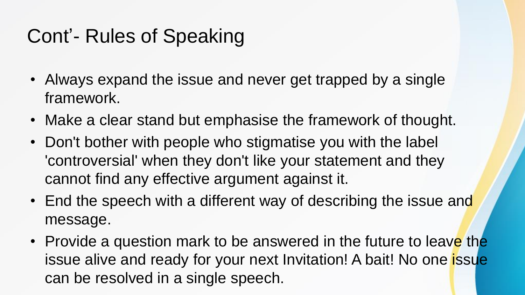## Cont'- Rules of Speaking

- Always expand the issue and never get trapped by a single framework.
- Make a clear stand but emphasise the framework of thought.
- Don't bother with people who stigmatise you with the label 'controversial' when they don't like your statement and they cannot find any effective argument against it.
- End the speech with a different way of describing the issue and message.
- Provide a question mark to be answered in the future to leave the issue alive and ready for your next Invitation! A bait! No one issue can be resolved in a single speech.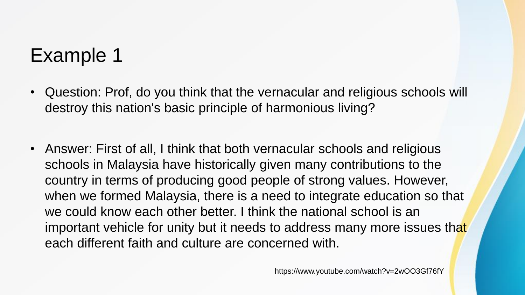### Example 1

- Question: Prof, do you think that the vernacular and religious schools will destroy this nation's basic principle of harmonious living?
- Answer: First of all, I think that both vernacular schools and religious schools in Malaysia have historically given many contributions to the country in terms of producing good people of strong values. However, when we formed Malaysia, there is a need to integrate education so that we could know each other better. I think the national school is an important vehicle for unity but it needs to address many more issues that each different faith and culture are concerned with.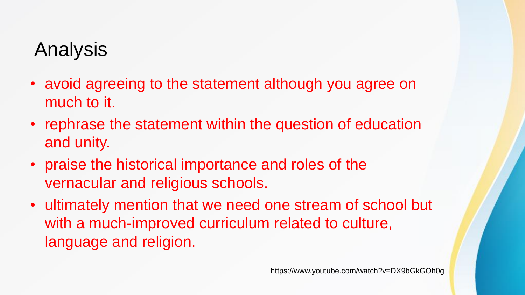### Analysis

- avoid agreeing to the statement although you agree on much to it.
- rephrase the statement within the question of education and unity.
- praise the historical importance and roles of the vernacular and religious schools.
- ultimately mention that we need one stream of school but with a much-improved curriculum related to culture, language and religion.

https://www.youtube.com/watch?v=DX9bGkGOh0g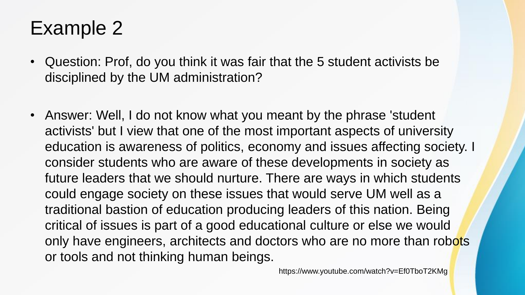### Example 2

- Question: Prof, do you think it was fair that the 5 student activists be disciplined by the UM administration?
- Answer: Well, I do not know what you meant by the phrase 'student activists' but I view that one of the most important aspects of university education is awareness of politics, economy and issues affecting society. I consider students who are aware of these developments in society as future leaders that we should nurture. There are ways in which students could engage society on these issues that would serve UM well as a traditional bastion of education producing leaders of this nation. Being critical of issues is part of a good educational culture or else we would only have engineers, architects and doctors who are no more than robots or tools and not thinking human beings.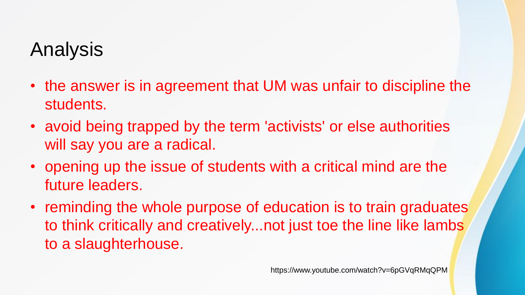### Analysis

- the answer is in agreement that UM was unfair to discipline the students.
- avoid being trapped by the term 'activists' or else authorities will say you are a radical.
- opening up the issue of students with a critical mind are the future leaders.
- reminding the whole purpose of education is to train graduates to think critically and creatively...not just toe the line like lambs to a slaughterhouse.

https://www.youtube.com/watch?v=6pGVqRMqQPM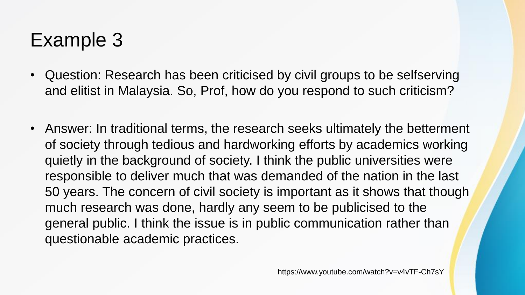### Example 3

- Question: Research has been criticised by civil groups to be selfserving and elitist in Malaysia. So, Prof, how do you respond to such criticism?
- Answer: In traditional terms, the research seeks ultimately the betterment of society through tedious and hardworking efforts by academics working quietly in the background of society. I think the public universities were responsible to deliver much that was demanded of the nation in the last 50 years. The concern of civil society is important as it shows that though much research was done, hardly any seem to be publicised to the general public. I think the issue is in public communication rather than questionable academic practices.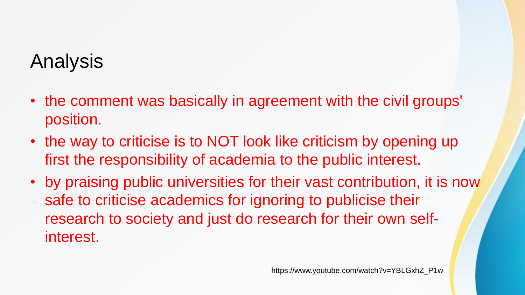### Analysis

- the comment was basically in agreement with the civil groups' position.
- the way to criticise is to NOT look like criticism by opening up first the responsibility of academia to the public interest.
- by praising public universities for their vast contribution, it is now safe to criticise academics for ignoring to publicise their research to society and just do research for their own selfinterest.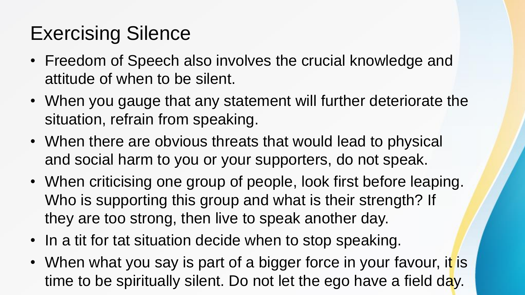## Exercising Silence

- Freedom of Speech also involves the crucial knowledge and attitude of when to be silent.
- When you gauge that any statement will further deteriorate the situation, refrain from speaking.
- When there are obvious threats that would lead to physical and social harm to you or your supporters, do not speak.
- When criticising one group of people, look first before leaping. Who is supporting this group and what is their strength? If they are too strong, then live to speak another day.
- In a tit for tat situation decide when to stop speaking.
- When what you say is part of a bigger force in your favour, it is time to be spiritually silent. Do not let the ego have a field day.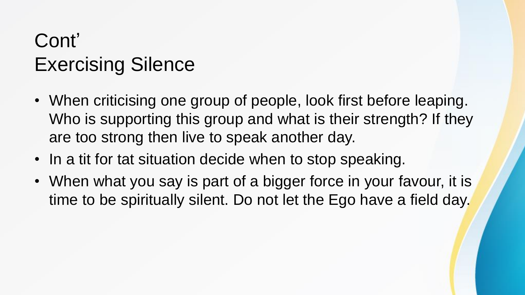## Cont' Exercising Silence

- When criticising one group of people, look first before leaping. Who is supporting this group and what is their strength? If they are too strong then live to speak another day.
- In a tit for tat situation decide when to stop speaking.
- When what you say is part of a bigger force in your favour, it is time to be spiritually silent. Do not let the Ego have a field day.